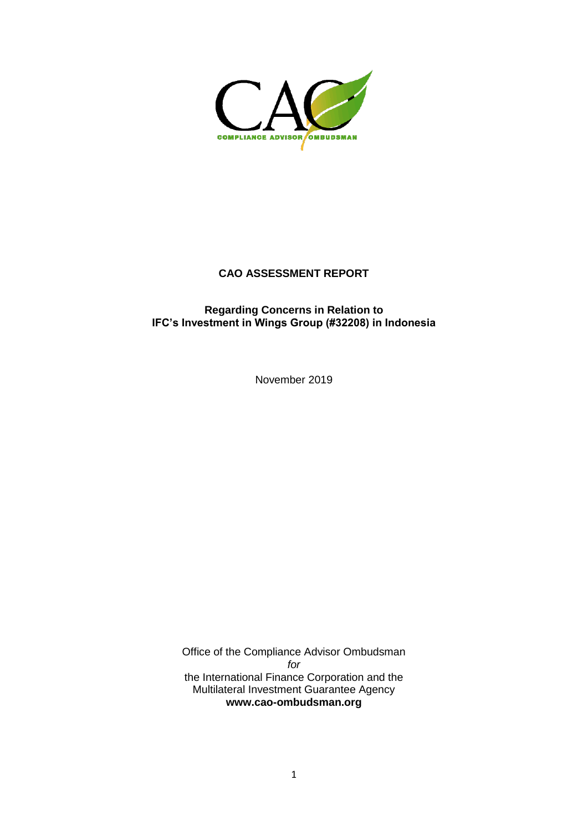

### **CAO ASSESSMENT REPORT**

## **Regarding Concerns in Relation to IFC's Investment in Wings Group (#32208) in Indonesia**

November 2019

Office of the Compliance Advisor Ombudsman *for* the International Finance Corporation and the Multilateral Investment Guarantee Agency **[www.cao-ombudsman.org](http://www.cao-ombudsman.org/)**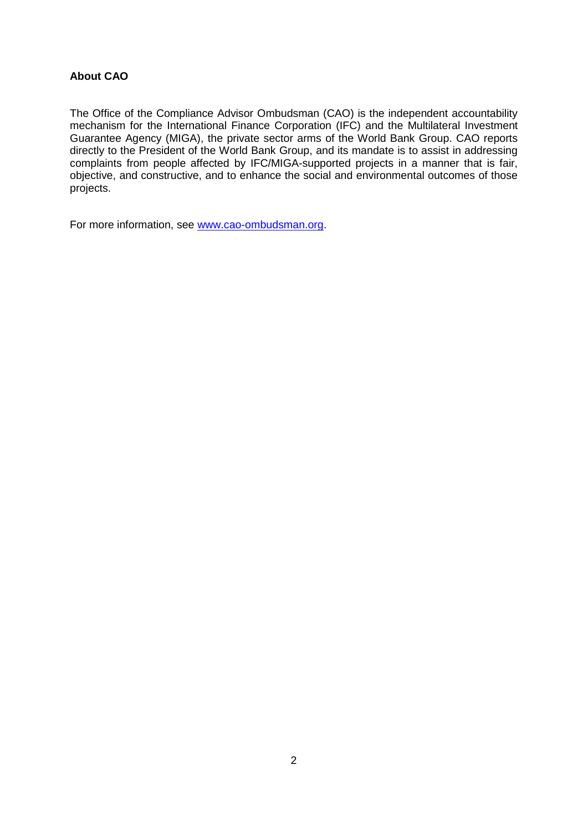## **About CAO**

The Office of the Compliance Advisor Ombudsman (CAO) is the independent accountability mechanism for the International Finance Corporation (IFC) and the Multilateral Investment Guarantee Agency (MIGA), the private sector arms of the World Bank Group. CAO reports directly to the President of the World Bank Group, and its mandate is to assist in addressing complaints from people affected by IFC/MIGA-supported projects in a manner that is fair, objective, and constructive, and to enhance the social and environmental outcomes of those projects.

For more information, see [www.cao-ombudsman.org.](http://www.cao-ombudsman.org/)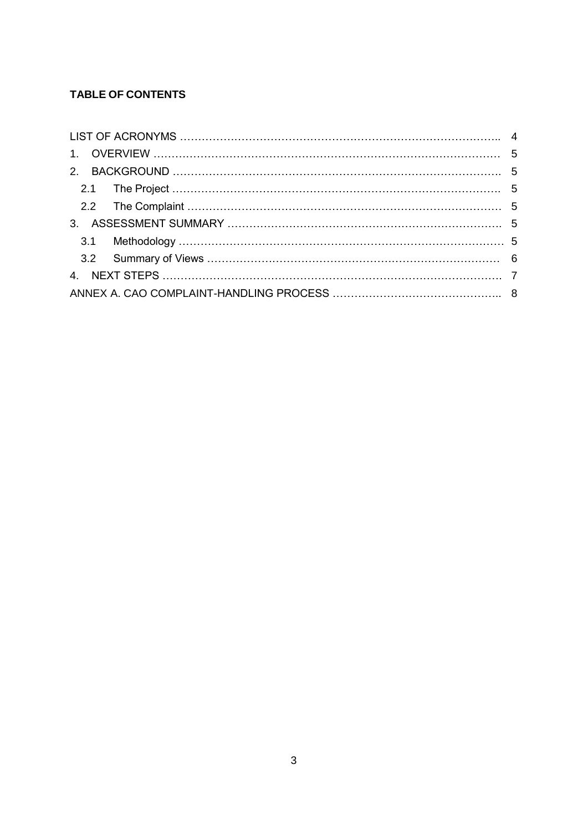# **TABLE OF CONTENTS**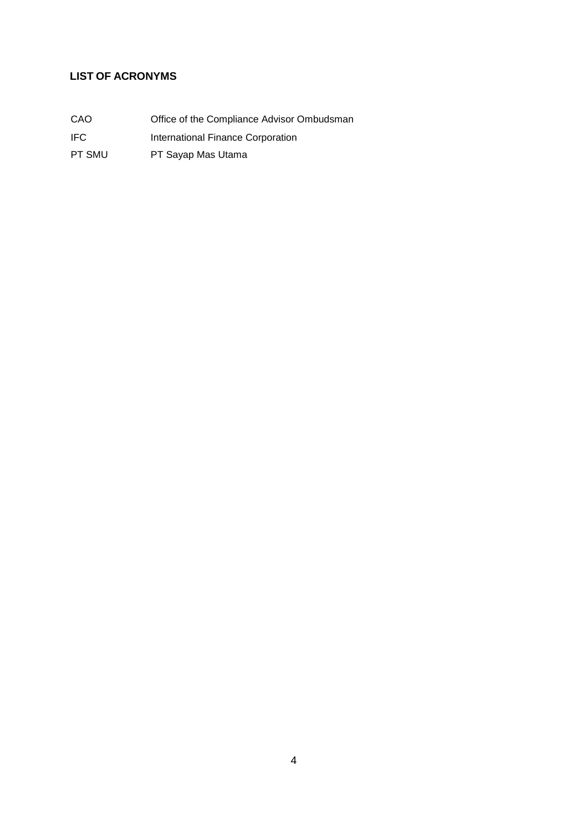## <span id="page-3-0"></span>**LIST OF ACRONYMS**

IFC International Finance Corporation

PT SMU PT Sayap Mas Utama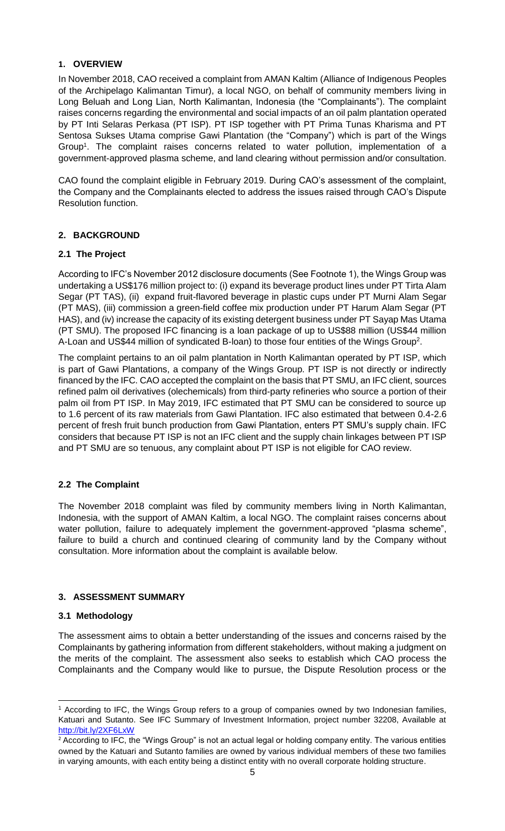## <span id="page-4-0"></span>**1. OVERVIEW**

<span id="page-4-2"></span><span id="page-4-1"></span>In November 2018, CAO received a complaint from AMAN Kaltim (Alliance of Indigenous Peoples of the Archipelago Kalimantan Timur), a local NGO, on behalf of community members living in Long Beluah and Long Lian, North Kalimantan, Indonesia (the "Complainants"). The complaint raises concerns regarding the environmental and social impacts of an oil palm plantation operated by PT Inti Selaras Perkasa (PT ISP). PT ISP together with PT Prima Tunas Kharisma and PT Sentosa Sukses Utama comprise Gawi Plantation (the "Company") which is part of the Wings Group<sup>1</sup>. The complaint raises concerns related to water pollution, implementation of a government-approved plasma scheme, and land clearing without permission and/or consultation.

CAO found the complaint eligible in February 2019. During CAO's assessment of the complaint, the Company and the Complainants elected to address the issues raised through CAO's Dispute Resolution function.

## **2. BACKGROUND**

## **2.1 The Project**

<span id="page-4-3"></span>According to IFC's November 2012 disclosure documents (See Footnote 1), the Wings Group was undertaking a US\$176 million project to: (i) expand its beverage product lines under PT Tirta Alam Segar (PT TAS), (ii) expand fruit-flavored beverage in plastic cups under PT Murni Alam Segar (PT MAS), (iii) commission a green-field coffee mix production under PT Harum Alam Segar (PT HAS), and (iv) increase the capacity of its existing detergent business under PT Sayap Mas Utama (PT SMU). The proposed IFC financing is a loan package of up to US\$88 million (US\$44 million A-Loan and US\$44 million of syndicated B-loan) to those four entities of the Wings Group<sup>2</sup>.

The complaint pertains to an oil palm plantation in North Kalimantan operated by PT ISP, which is part of Gawi Plantations, a company of the Wings Group. PT ISP is not directly or indirectly financed by the IFC. CAO accepted the complaint on the basis that PT SMU, an IFC client, sources refined palm oil derivatives (olechemicals) from third-party refineries who source a portion of their palm oil from PT ISP. In May 2019, IFC estimated that PT SMU can be considered to source up to 1.6 percent of its raw materials from Gawi Plantation. IFC also estimated that between 0.4-2.6 percent of fresh fruit bunch production from Gawi Plantation, enters PT SMU's supply chain. IFC considers that because PT ISP is not an IFC client and the supply chain linkages between PT ISP and PT SMU are so tenuous, any complaint about PT ISP is not eligible for CAO review.

## <span id="page-4-5"></span><span id="page-4-4"></span>**2.2 The Complaint**

The November 2018 complaint was filed by community members living in North Kalimantan, Indonesia, with the support of AMAN Kaltim, a local NGO. The complaint raises concerns about water pollution, failure to adequately implement the government-approved "plasma scheme", failure to build a church and continued clearing of community land by the Company without consultation. More information about the complaint is available below.

## **3. ASSESSMENT SUMMARY**

## **3.1 Methodology**

The assessment aims to obtain a better understanding of the issues and concerns raised by the Complainants by gathering information from different stakeholders, without making a judgment on the merits of the complaint. The assessment also seeks to establish which CAO process the Complainants and the Company would like to pursue, the Dispute Resolution process or the

 $\overline{a}$ <sup>1</sup> According to IFC, the Wings Group refers to a group of companies owned by two Indonesian families, Katuari and Sutanto. See IFC Summary of Investment Information, project number 32208, Available at <http://bit.ly/2XF6LxW>

<sup>&</sup>lt;sup>2</sup> According to IFC, the "Wings Group" is not an actual legal or holding company entity. The various entities owned by the Katuari and Sutanto families are owned by various individual members of these two families in varying amounts, with each entity being a distinct entity with no overall corporate holding structure.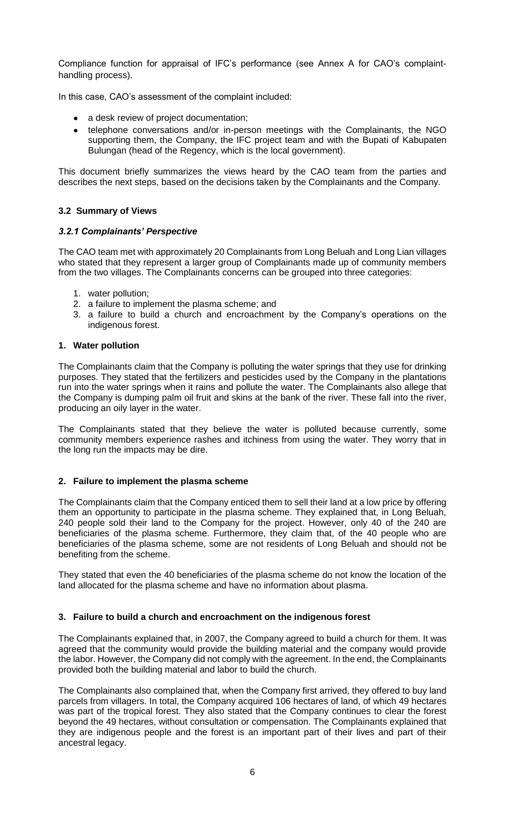<span id="page-5-0"></span>Compliance function for appraisal of IFC's performance (see Annex A for CAO's complainthandling process).

In this case, CAO's assessment of the complaint included:

- a desk review of project documentation;
- telephone conversations and/or in-person meetings with the Complainants, the NGO supporting them, the Company, the IFC project team and with the Bupati of Kabupaten Bulungan (head of the Regency, which is the local government).

This document briefly summarizes the views heard by the CAO team from the parties and describes the next steps, based on the decisions taken by the Complainants and the Company.

#### **3.2 Summary of Views**

#### *3.2.1 Complainants' Perspective*

The CAO team met with approximately 20 Complainants from Long Beluah and Long Lian villages who stated that they represent a larger group of Complainants made up of community members from the two villages. The Complainants concerns can be grouped into three categories:

- 1. water pollution;
- 2. a failure to implement the plasma scheme; and
- 3. a failure to build a church and encroachment by the Company's operations on the indigenous forest.

#### **1. Water pollution**

The Complainants claim that the Company is polluting the water springs that they use for drinking purposes. They stated that the fertilizers and pesticides used by the Company in the plantations run into the water springs when it rains and pollute the water. The Complainants also allege that the Company is dumping palm oil fruit and skins at the bank of the river. These fall into the river, producing an oily layer in the water.

The Complainants stated that they believe the water is polluted because currently, some community members experience rashes and itchiness from using the water. They worry that in the long run the impacts may be dire.

## **2. Failure to implement the plasma scheme**

The Complainants claim that the Company enticed them to sell their land at a low price by offering them an opportunity to participate in the plasma scheme. They explained that, in Long Beluah, 240 people sold their land to the Company for the project. However, only 40 of the 240 are beneficiaries of the plasma scheme. Furthermore, they claim that, of the 40 people who are beneficiaries of the plasma scheme, some are not residents of Long Beluah and should not be benefiting from the scheme.

They stated that even the 40 beneficiaries of the plasma scheme do not know the location of the land allocated for the plasma scheme and have no information about plasma.

## **3. Failure to build a church and encroachment on the indigenous forest**

The Complainants explained that, in 2007, the Company agreed to build a church for them. It was agreed that the community would provide the building material and the company would provide the labor. However, the Company did not comply with the agreement. In the end, the Complainants provided both the building material and labor to build the church.

The Complainants also complained that, when the Company first arrived, they offered to buy land parcels from villagers. In total, the Company acquired 106 hectares of land, of which 49 hectares was part of the tropical forest. They also stated that the Company continues to clear the forest beyond the 49 hectares, without consultation or compensation. The Complainants explained that they are indigenous people and the forest is an important part of their lives and part of their ancestral legacy.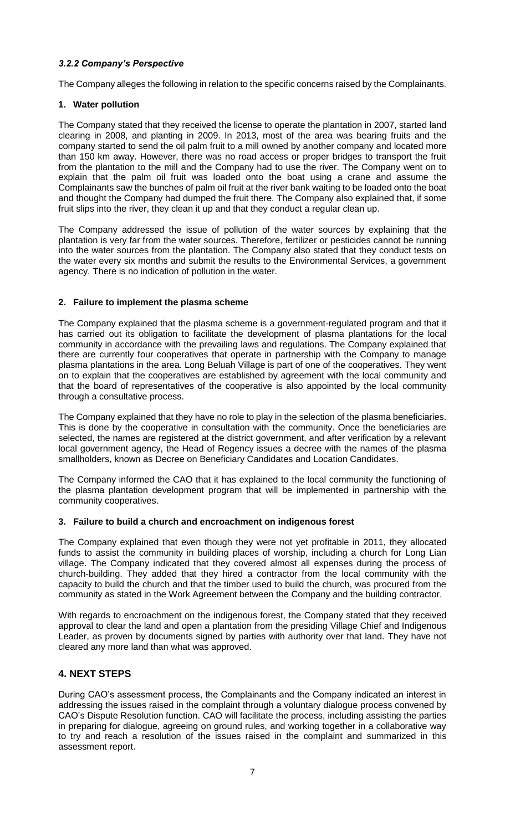## *3.2.2 Company's Perspective*

The Company alleges the following in relation to the specific concerns raised by the Complainants.

## **1. Water pollution**

The Company stated that they received the license to operate the plantation in 2007, started land clearing in 2008, and planting in 2009. In 2013, most of the area was bearing fruits and the company started to send the oil palm fruit to a mill owned by another company and located more than 150 km away. However, there was no road access or proper bridges to transport the fruit from the plantation to the mill and the Company had to use the river. The Company went on to explain that the palm oil fruit was loaded onto the boat using a crane and assume the Complainants saw the bunches of palm oil fruit at the river bank waiting to be loaded onto the boat and thought the Company had dumped the fruit there. The Company also explained that, if some fruit slips into the river, they clean it up and that they conduct a regular clean up.

The Company addressed the issue of pollution of the water sources by explaining that the plantation is very far from the water sources. Therefore, fertilizer or pesticides cannot be running into the water sources from the plantation. The Company also stated that they conduct tests on the water every six months and submit the results to the Environmental Services, a government agency. There is no indication of pollution in the water.

## **2. Failure to implement the plasma scheme**

The Company explained that the plasma scheme is a government-regulated program and that it has carried out its obligation to facilitate the development of plasma plantations for the local community in accordance with the prevailing laws and regulations. The Company explained that there are currently four cooperatives that operate in partnership with the Company to manage plasma plantations in the area. Long Beluah Village is part of one of the cooperatives. They went on to explain that the cooperatives are established by agreement with the local community and that the board of representatives of the cooperative is also appointed by the local community through a consultative process.

The Company explained that they have no role to play in the selection of the plasma beneficiaries. This is done by the cooperative in consultation with the community. Once the beneficiaries are selected, the names are registered at the district government, and after verification by a relevant local government agency, the Head of Regency issues a decree with the names of the plasma smallholders, known as Decree on Beneficiary Candidates and Location Candidates.

The Company informed the CAO that it has explained to the local community the functioning of the plasma plantation development program that will be implemented in partnership with the community cooperatives.

## **3. Failure to build a church and encroachment on indigenous forest**

<span id="page-6-0"></span>The Company explained that even though they were not yet profitable in 2011, they allocated funds to assist the community in building places of worship, including a church for Long Lian village. The Company indicated that they covered almost all expenses during the process of church-building. They added that they hired a contractor from the local community with the capacity to build the church and that the timber used to build the church, was procured from the community as stated in the Work Agreement between the Company and the building contractor.

<span id="page-6-1"></span>With regards to encroachment on the indigenous forest, the Company stated that they received approval to clear the land and open a plantation from the presiding Village Chief and Indigenous Leader, as proven by documents signed by parties with authority over that land. They have not cleared any more land than what was approved.

## **4. NEXT STEPS**

During CAO's assessment process, the Complainants and the Company indicated an interest in addressing the issues raised in the complaint through a voluntary dialogue process convened by CAO's Dispute Resolution function. CAO will facilitate the process, including assisting the parties in preparing for dialogue, agreeing on ground rules, and working together in a collaborative way to try and reach a resolution of the issues raised in the complaint and summarized in this assessment report.